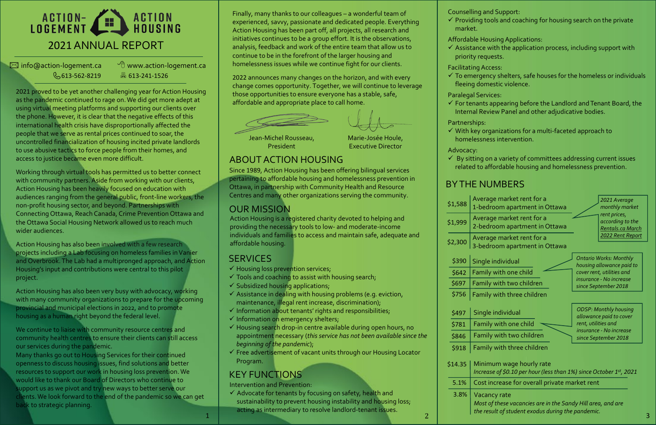# ACTION- ACTION<br>LOGEMENT HOUSING 2021ANNUAL REPORT

 $\boxtimes$  info@action-logement.ca  $\Box$  www.action-logement.ca

613-562-8219 613-241-1526

2021 proved to be yet another challenging year for Action Housing as the pandemic continued to rage on. We did get more adept at using virtual meeting platforms and supporting our clients over the phone. However, it is clear that the negative effects of this international health crisis have disproportionally affected the people that we serve as rental prices continued to soar, the uncontrolled financialization of housing incited private landlords to use abusive tactics to force people from their homes, and access to justice became even more difficult.

Action Housing has also been involved with a few research projects including a Lab focusing on homeless families in Vanier and Overbrook. The Lab had a multipronged approach, and Action Housing's input and contributions were central to this pilot project.

Working through virtual tools has permitted us to better connect with community partners. Aside from working with our clients, Action Housing has been heavily focused on education with audiences ranging from the general public, front-line workers, the non-profit housing sector, and beyond. Partnerships with Connecting Ottawa, Reach Canada, Crime Prevention Ottawa and the Ottawa Social Housing Network allowed us to reach much wider audiences.

Action Housing has also been very busy with advocacy, working with many community organizations to prepare for the upcoming provincial and municipal elections in 2022, and to promote housing as a human right beyond the federal level.

- $\checkmark$  Housing loss prevention services;
- $\checkmark$  Tools and coaching to assist with housing search;
- $\checkmark$  Subsidized housing applications;
- $\checkmark$  Assistance in dealing with housing problems (e.g. eviction, maintenance, illegal rent increase, discrimination);
- $\checkmark$  Information about tenants' rights and responsibilities;
- $\checkmark$  Information on emergency shelters;
- $\checkmark$  Housing search drop-in centre available during open hours, no appointment necessary (*thisservice has not been available since the beginning of the pandemic*);
- $\checkmark$  Free advertisement of vacant units through our Housing Locator Program.

We continue to liaise with community resource centres and community health centres to ensure their clients can still access our services during the pandemic.

 $\checkmark$  To emergency shelters, safe houses for the homeless or individuals fleeing domestic violence.

 $\checkmark$  For tenants appearing before the Landlord and Tenant Board, the Internal Review Panel and other adjudicative bodies.

 $\checkmark$  With key organizations for a multi-faceted approach to homelessness intervention.

Many thanks go out to Housing Services for their continued openness to discuss housing issues, find solutions and better resources to support our work in housing loss prevention. We would like to thank our Board of Directors who continue to support us as we pivot and try new ways to better serve our clients. We look forward to the end of the pandemic so we can get back to strategic planning.

 $\checkmark$  By sitting on a variety of committees addressing current issues related to affordable housing and homelessness prevention.

Marie-Josée Houle, Executive Director

Jean-Michel Rousseau, President

# OUR MISSION

Action Housing is a registered charity devoted to helping and providing the necessary tools to low- and moderate-income individuals and families to access and maintain safe, adequate and affordable housing.

# **SERVICES**

### ABOUT ACTION HOUSING

Since 1989, Action Housing has been offering bilingual services pertaining to affordable housing and homelessness prevention in Ottawa, in partnership with Community Health and Resource Centres and many other organizations serving the community.

 $\checkmark$  Advocate for tenants by focusing on safety, health and sustainability to prevent housing instability and housing loss; acting as intermediary to resolve landlord-tenant issues.

1 and the control of the resolution of the resolution of the resolution of the resolution of the paradichment. *Most of these vacancies are in the Sandy Hill area, and are the result of student exodus during the pandemic.* 

Counselling and Support:

 $\checkmark$  Providing tools and coaching for housing search on the private

Affordable HousingApplications:

 $\checkmark$  Assistance with the application process, including support with

- 
- market.
- 
- priority requests.
- Facilitating Access:
- 
- Paralegal Services:
- 
- Partnerships:
- 

Advocacy:

# KEY FUNCTIONS

Finally, many thanks to our colleagues – a wonderful team of experienced, savvy, passionate and dedicated people. Everything Action Housing has been part off, all projects, all research and initiatives continues to be a group effort. It is the observations, analysis, feedback and work of the entire team that allow us to continue to be in the forefront of the larger housing and homelessness issues while we continue fight for our clients.

2022 announces many changes on the horizon, and with every change comes opportunity. Together, we will continue to leverage those opportunities to ensure everyone has a stable, safe, affordable and appropriate place to call home.





# BY THE NUMBERS

| \$1,588 | Avt<br>$1-b$                     |
|---------|----------------------------------|
| \$1,999 | $\overline{\mathsf{Ave}}$<br>2-b |
| \$2,300 | Ave<br>$3-b$                     |
| \$390   | Sin                              |
| \$642   | Fan                              |
| \$697   | Fan                              |
| \$756   | Fan                              |
| \$497   | Sin                              |
| \$781   | Far                              |
|         |                                  |



imum wage hourly rate

Intervention and Prevention:

*Increase of \$0.10 per hour (less than 1%) since October 1st, 2021*

t increase for overall private market rent

ancy rate

| Fan               |
|-------------------|
| Fan               |
| Min<br>Incr       |
| Cos               |
| Vac<br>Mos<br>the |
|                   |